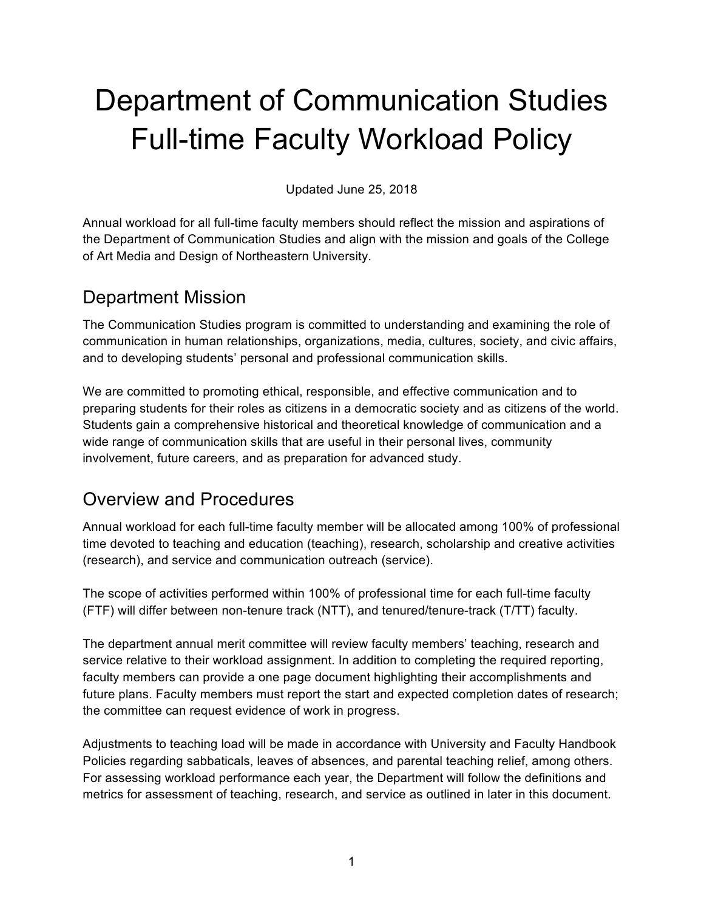# Department of Communication Studies Full-time Faculty Workload Policy

Updated June 25, 2018

Annual workload for all full-time faculty members should reflect the mission and aspirations of the Department of Communication Studies and align with the mission and goals of the College of Art Media and Design of Northeastern University.

#### Department Mission

The Communication Studies program is committed to understanding and examining the role of communication in human relationships, organizations, media, cultures, society, and civic affairs, and to developing students' personal and professional communication skills.

We are committed to promoting ethical, responsible, and effective communication and to preparing students for their roles as citizens in a democratic society and as citizens of the world. Students gain a comprehensive historical and theoretical knowledge of communication and a wide range of communication skills that are useful in their personal lives, community involvement, future careers, and as preparation for advanced study.

### Overview and Procedures

Annual workload for each full-time faculty member will be allocated among 100% of professional time devoted to teaching and education (teaching), research, scholarship and creative activities (research), and service and communication outreach (service).

The scope of activities performed within 100% of professional time for each full-time faculty (FTF) will differ between non-tenure track (NTT), and tenured/tenure-track (T/TT) faculty.

The department annual merit committee will review faculty members' teaching, research and service relative to their workload assignment. In addition to completing the required reporting, faculty members can provide a one page document highlighting their accomplishments and future plans. Faculty members must report the start and expected completion dates of research; the committee can request evidence of work in progress.

Adjustments to teaching load will be made in accordance with University and Faculty Handbook Policies regarding sabbaticals, leaves of absences, and parental teaching relief, among others. For assessing workload performance each year, the Department will follow the definitions and metrics for assessment of teaching, research, and service as outlined in later in this document.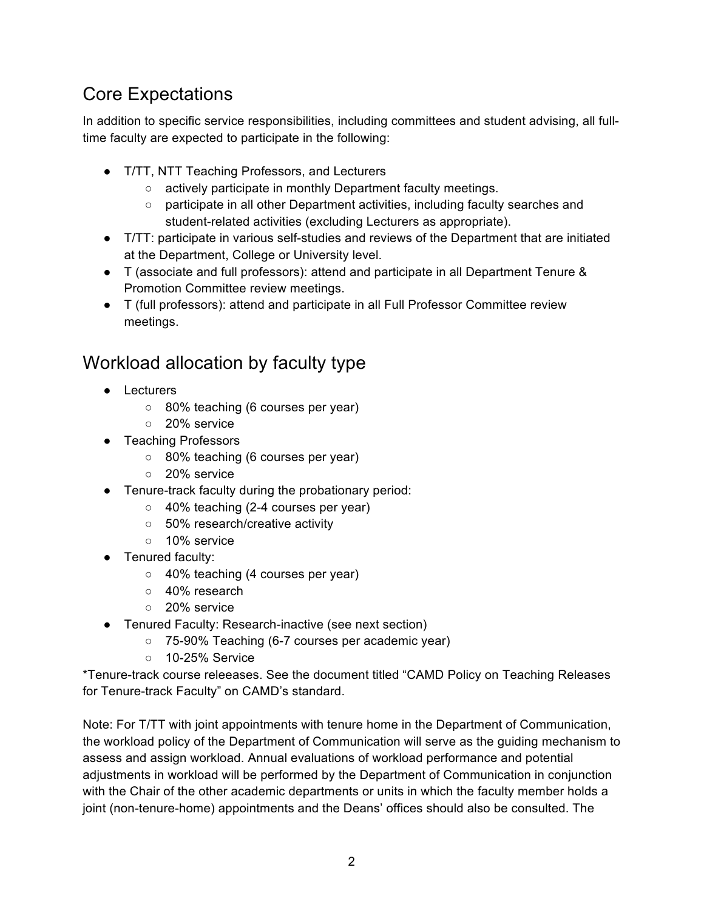## Core Expectations

In addition to specific service responsibilities, including committees and student advising, all fulltime faculty are expected to participate in the following:

- T/TT, NTT Teaching Professors, and Lecturers
	- actively participate in monthly Department faculty meetings.
	- participate in all other Department activities, including faculty searches and student-related activities (excluding Lecturers as appropriate).
- T/TT: participate in various self-studies and reviews of the Department that are initiated at the Department, College or University level.
- T (associate and full professors): attend and participate in all Department Tenure & Promotion Committee review meetings.
- T (full professors): attend and participate in all Full Professor Committee review meetings.

# Workload allocation by faculty type

- Lecturers
	- 80% teaching (6 courses per year)
	- 20% service
- Teaching Professors
	- 80% teaching (6 courses per year)
	- 20% service
- Tenure-track faculty during the probationary period:
	- 40% teaching (2-4 courses per year)
	- 50% research/creative activity
	- 10% service
- Tenured faculty:
	- 40% teaching (4 courses per year)
	- 40% research
	- 20% service
- Tenured Faculty: Research-inactive (see next section)
	- 75-90% Teaching (6-7 courses per academic year)
	- 10-25% Service

\*Tenure-track course releeases. See the document titled "CAMD Policy on Teaching Releases for Tenure-track Faculty" on CAMD's standard.

Note: For T/TT with joint appointments with tenure home in the Department of Communication, the workload policy of the Department of Communication will serve as the guiding mechanism to assess and assign workload. Annual evaluations of workload performance and potential adjustments in workload will be performed by the Department of Communication in conjunction with the Chair of the other academic departments or units in which the faculty member holds a joint (non-tenure-home) appointments and the Deans' offices should also be consulted. The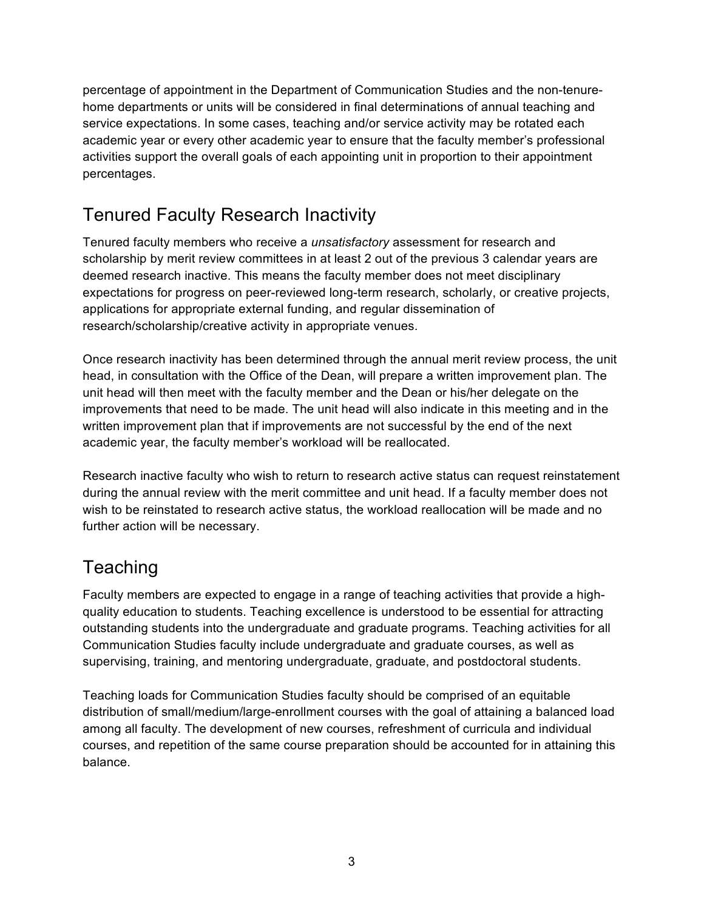percentage of appointment in the Department of Communication Studies and the non-tenurehome departments or units will be considered in final determinations of annual teaching and service expectations. In some cases, teaching and/or service activity may be rotated each academic year or every other academic year to ensure that the faculty member's professional activities support the overall goals of each appointing unit in proportion to their appointment percentages.

# Tenured Faculty Research Inactivity

Tenured faculty members who receive a *unsatisfactory* assessment for research and scholarship by merit review committees in at least 2 out of the previous 3 calendar years are deemed research inactive. This means the faculty member does not meet disciplinary expectations for progress on peer-reviewed long-term research, scholarly, or creative projects, applications for appropriate external funding, and regular dissemination of research/scholarship/creative activity in appropriate venues.

Once research inactivity has been determined through the annual merit review process, the unit head, in consultation with the Office of the Dean, will prepare a written improvement plan. The unit head will then meet with the faculty member and the Dean or his/her delegate on the improvements that need to be made. The unit head will also indicate in this meeting and in the written improvement plan that if improvements are not successful by the end of the next academic year, the faculty member's workload will be reallocated.

Research inactive faculty who wish to return to research active status can request reinstatement during the annual review with the merit committee and unit head. If a faculty member does not wish to be reinstated to research active status, the workload reallocation will be made and no further action will be necessary.

# **Teaching**

Faculty members are expected to engage in a range of teaching activities that provide a highquality education to students. Teaching excellence is understood to be essential for attracting outstanding students into the undergraduate and graduate programs. Teaching activities for all Communication Studies faculty include undergraduate and graduate courses, as well as supervising, training, and mentoring undergraduate, graduate, and postdoctoral students.

Teaching loads for Communication Studies faculty should be comprised of an equitable distribution of small/medium/large-enrollment courses with the goal of attaining a balanced load among all faculty. The development of new courses, refreshment of curricula and individual courses, and repetition of the same course preparation should be accounted for in attaining this balance.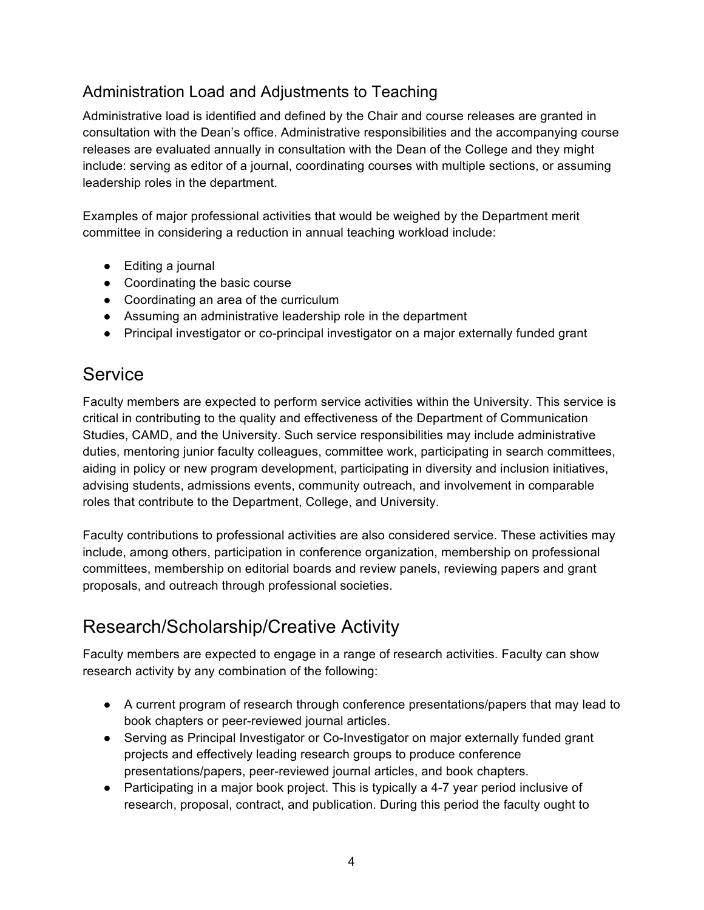#### Administration Load and Adjustments to Teaching

Administrative load is identified and defined by the Chair and course releases are granted in consultation with the Dean's office. Administrative responsibilities and the accompanying course releases are evaluated annually in consultation with the Dean of the College and they might include: serving as editor of a journal, coordinating courses with multiple sections, or assuming leadership roles in the department.

Examples of major professional activities that would be weighed by the Department merit committee in considering a reduction in annual teaching workload include:

- Editing a journal
- Coordinating the basic course
- Coordinating an area of the curriculum
- Assuming an administrative leadership role in the department
- Principal investigator or co-principal investigator on a major externally funded grant

#### **Service**

Faculty members are expected to perform service activities within the University. This service is critical in contributing to the quality and effectiveness of the Department of Communication Studies, CAMD, and the University. Such service responsibilities may include administrative duties, mentoring junior faculty colleagues, committee work, participating in search committees, aiding in policy or new program development, participating in diversity and inclusion initiatives, advising students, admissions events, community outreach, and involvement in comparable roles that contribute to the Department, College, and University.

Faculty contributions to professional activities are also considered service. These activities may include, among others, participation in conference organization, membership on professional committees, membership on editorial boards and review panels, reviewing papers and grant proposals, and outreach through professional societies.

### Research/Scholarship/Creative Activity

Faculty members are expected to engage in a range of research activities. Faculty can show research activity by any combination of the following:

- A current program of research through conference presentations/papers that may lead to book chapters or peer-reviewed journal articles.
- Serving as Principal Investigator or Co-Investigator on major externally funded grant projects and effectively leading research groups to produce conference presentations/papers, peer-reviewed journal articles, and book chapters.
- Participating in a major book project. This is typically a 4-7 year period inclusive of research, proposal, contract, and publication. During this period the faculty ought to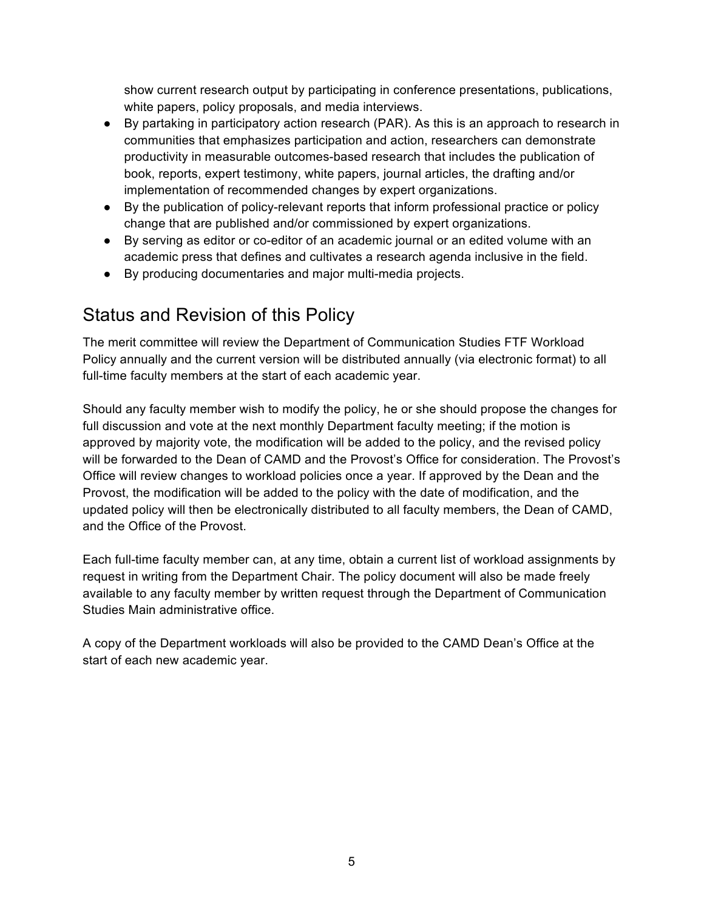show current research output by participating in conference presentations, publications, white papers, policy proposals, and media interviews.

- By partaking in participatory action research (PAR). As this is an approach to research in communities that emphasizes participation and action, researchers can demonstrate productivity in measurable outcomes-based research that includes the publication of book, reports, expert testimony, white papers, journal articles, the drafting and/or implementation of recommended changes by expert organizations.
- By the publication of policy-relevant reports that inform professional practice or policy change that are published and/or commissioned by expert organizations.
- By serving as editor or co-editor of an academic journal or an edited volume with an academic press that defines and cultivates a research agenda inclusive in the field.
- By producing documentaries and major multi-media projects.

#### Status and Revision of this Policy

The merit committee will review the Department of Communication Studies FTF Workload Policy annually and the current version will be distributed annually (via electronic format) to all full-time faculty members at the start of each academic year.

Should any faculty member wish to modify the policy, he or she should propose the changes for full discussion and vote at the next monthly Department faculty meeting; if the motion is approved by majority vote, the modification will be added to the policy, and the revised policy will be forwarded to the Dean of CAMD and the Provost's Office for consideration. The Provost's Office will review changes to workload policies once a year. If approved by the Dean and the Provost, the modification will be added to the policy with the date of modification, and the updated policy will then be electronically distributed to all faculty members, the Dean of CAMD, and the Office of the Provost.

Each full-time faculty member can, at any time, obtain a current list of workload assignments by request in writing from the Department Chair. The policy document will also be made freely available to any faculty member by written request through the Department of Communication Studies Main administrative office.

A copy of the Department workloads will also be provided to the CAMD Dean's Office at the start of each new academic year.